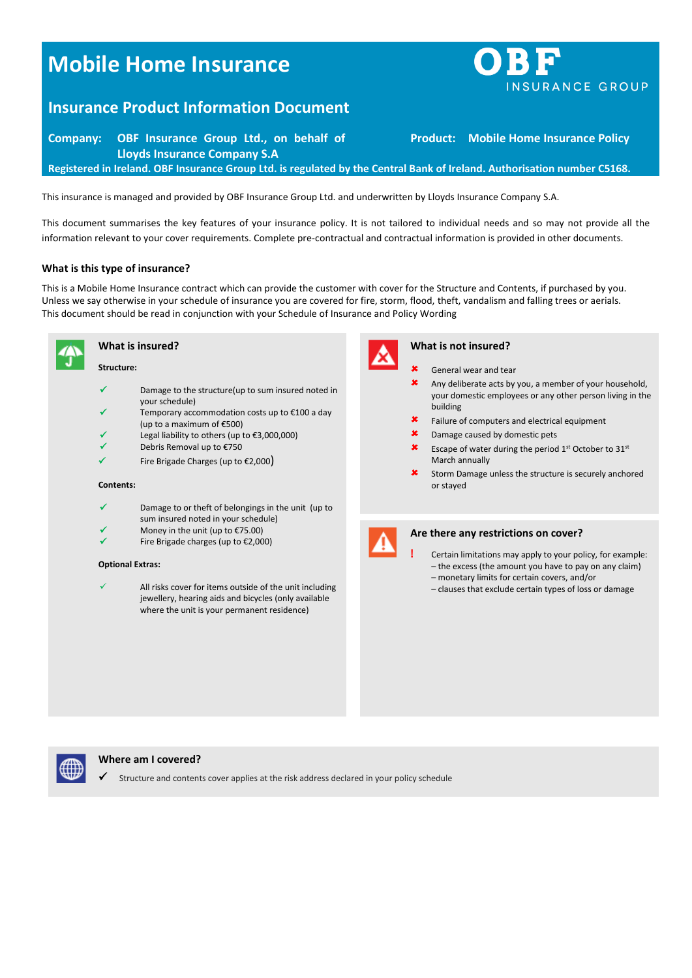# **Mobile Home Insurance**



## **Insurance Product Information Document**

**Company: OBF Insurance Group Ltd., on behalf of Lloyds Insurance Company S.A Product: Mobile Home Insurance Policy Registered in Ireland. OBF Insurance Group Ltd. is regulated by the Central Bank of Ireland. Authorisation number C5168.**

This insurance is managed and provided by OBF Insurance Group Ltd. and underwritten by Lloyds Insurance Company S.A.

This document summarises the key features of your insurance policy. It is not tailored to individual needs and so may not provide all the information relevant to your cover requirements. Complete pre-contractual and contractual information is provided in other documents.

#### **What is this type of insurance?**

This is a Mobile Home Insurance contract which can provide the customer with cover for the Structure and Contents, if purchased by you. Unless we say otherwise in your schedule of insurance you are covered for fire, storm, flood, theft, vandalism and falling trees or aerials. This document should be read in conjunction with your Schedule of Insurance and Policy Wording



#### **What is insured?**

#### **Structure:**

- $\checkmark$  Damage to the structure(up to sum insured noted in your schedule)
- Temporary accommodation costs up to €100 a day (up to a maximum of €500)
- Legal liability to others (up to €3,000,000) Debris Removal up to €750
- Fire Brigade Charges (up to €2,000)

#### **Contents:**

- Damage to or theft of belongings in the unit (up to
- sum insured noted in your schedule) Money in the unit (up to €75.00)
- Fire Brigade charges (up to €2,000)

#### **Optional Extras:**

 All risks cover for items outside of the unit including jewellery, hearing aids and bicycles (only available where the unit is your permanent residence)



#### **What is not insured?**

- General wear and tear
- Any deliberate acts by you, a member of your household, your domestic employees or any other person living in the building
- Failure of computers and electrical equipment
- Damage caused by domestic pets
- **x** Escape of water during the period  $1^{st}$  October to  $31^{st}$ March annually
- Storm Damage unless the structure is securely anchored or stayed



#### **Are there any restrictions on cover?**

- **!** Certain limitations may apply to your policy, for example: – the excess (the amount you have to pay on any claim)
- monetary limits for certain covers, and/or
- clauses that exclude certain types of loss or damage



#### **Where am I covered?**

Structure and contents cover applies at the risk address declared in your policy schedule